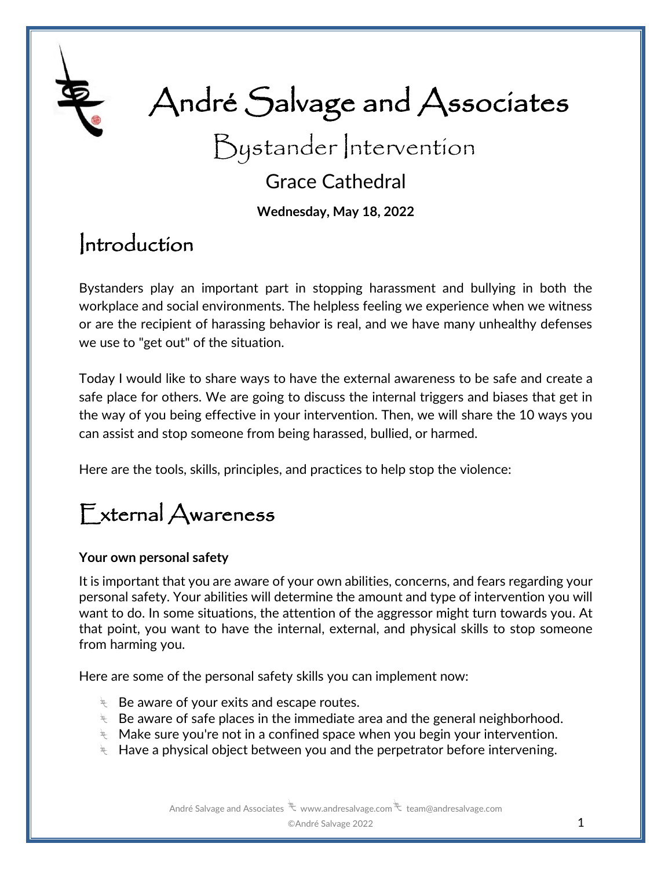

# André Salvage and Associates

Bystander Intervention

### Grace Cathedral

**Wednesday, May 18, 2022**

### Introduction

Bystanders play an important part in stopping harassment and bullying in both the workplace and social environments. The helpless feeling we experience when we witness or are the recipient of harassing behavior is real, and we have many unhealthy defenses we use to "get out" of the situation.

Today I would like to share ways to have the external awareness to be safe and create a safe place for others. We are going to discuss the internal triggers and biases that get in the way of you being effective in your intervention. Then, we will share the 10 ways you can assist and stop someone from being harassed, bullied, or harmed.

Here are the tools, skills, principles, and practices to help stop the violence:

## External Awareness

#### **Your own personal safety**

It is important that you are aware of your own abilities, concerns, and fears regarding your personal safety. Your abilities will determine the amount and type of intervention you will want to do. In some situations, the attention of the aggressor might turn towards you. At that point, you want to have the internal, external, and physical skills to stop someone from harming you.

Here are some of the personal safety skills you can implement now:

- $\overline{\mathcal{F}}$  Be aware of your exits and escape routes.
- $\overline{\mathcal{F}}$  Be aware of safe places in the immediate area and the general neighborhood.
- $\ddot{\mathcal{F}}$  Make sure you're not in a confined space when you begin your intervention.
- $\ddot{\mathcal{F}}$  Have a physical object between you and the perpetrator before intervening.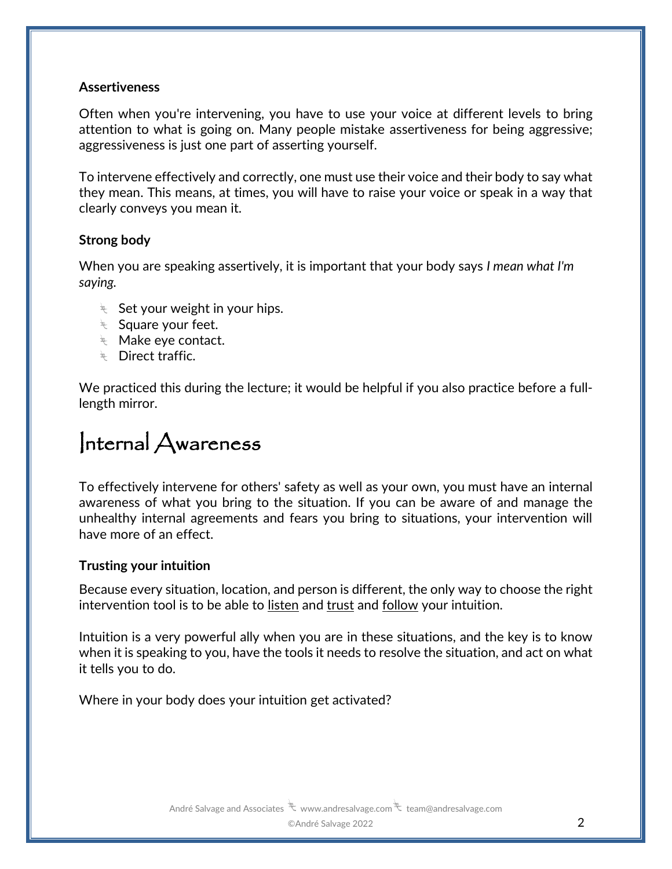#### **Assertiveness**

Often when you're intervening, you have to use your voice at different levels to bring attention to what is going on. Many people mistake assertiveness for being aggressive; aggressiveness is just one part of asserting yourself.

To intervene effectively and correctly, one must use their voice and their body to say what they mean. This means, at times, you will have to raise your voice or speak in a way that clearly conveys you mean it.

#### **Strong body**

When you are speaking assertively, it is important that your body says *I mean what I'm saying.* 

- $\ddot{\mathbf{z}}$  Set your weight in your hips.
- $\overline{\mathcal{F}}$  Square your feet.
- $\overline{\mathcal{F}}$  Make eye contact.
- **E** Direct traffic.

We practiced this during the lecture; it would be helpful if you also practice before a fulllength mirror.

### Internal Awareness

To effectively intervene for others' safety as well as your own, you must have an internal awareness of what you bring to the situation. If you can be aware of and manage the unhealthy internal agreements and fears you bring to situations, your intervention will have more of an effect.

#### **Trusting your intuition**

Because every situation, location, and person is different, the only way to choose the right intervention tool is to be able to listen and trust and follow your intuition.

Intuition is a very powerful ally when you are in these situations, and the key is to know when it is speaking to you, have the tools it needs to resolve the situation, and act on what it tells you to do.

Where in your body does your intuition get activated?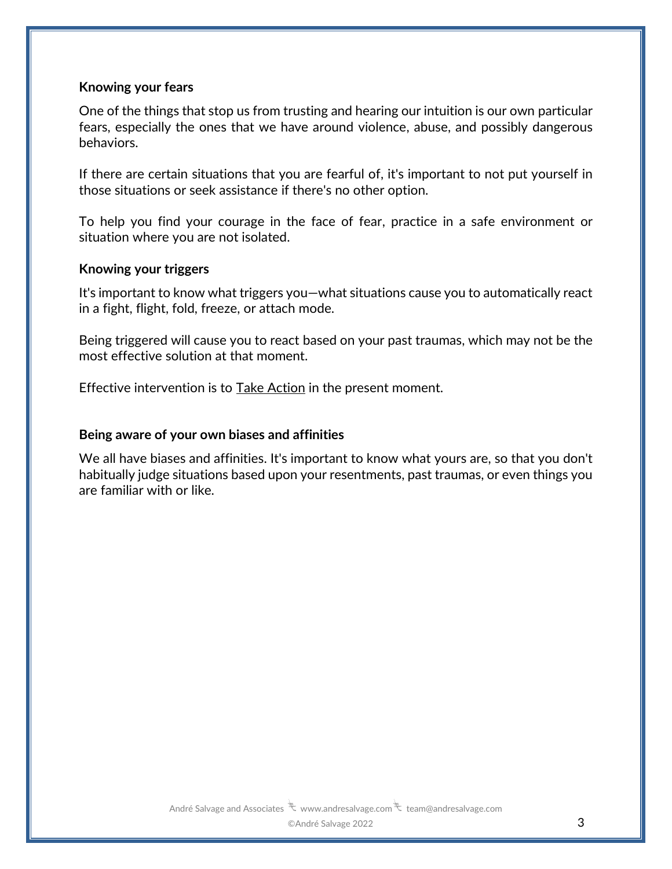#### **Knowing your fears**

One of the things that stop us from trusting and hearing our intuition is our own particular fears, especially the ones that we have around violence, abuse, and possibly dangerous behaviors.

If there are certain situations that you are fearful of, it's important to not put yourself in those situations or seek assistance if there's no other option.

To help you find your courage in the face of fear, practice in a safe environment or situation where you are not isolated.

#### **Knowing your triggers**

It's important to know what triggers you—what situations cause you to automatically react in a fight, flight, fold, freeze, or attach mode.

Being triggered will cause you to react based on your past traumas, which may not be the most effective solution at that moment.

Effective intervention is to Take Action in the present moment.

#### **Being aware of your own biases and affinities**

We all have biases and affinities. It's important to know what yours are, so that you don't habitually judge situations based upon your resentments, past traumas, or even things you are familiar with or like.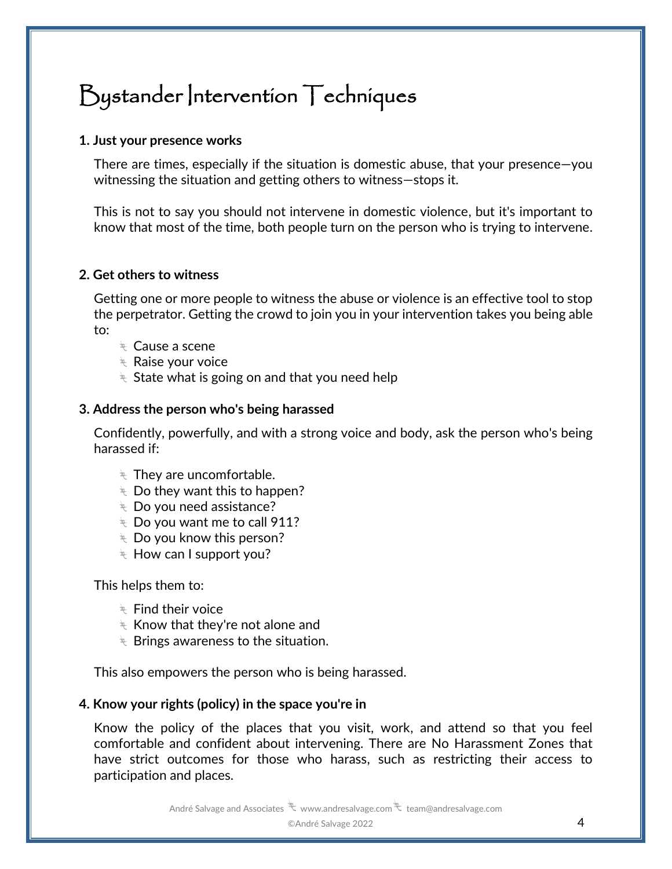### Bystander Intervention Techniques

#### **1. Just your presence works**

There are times, especially if the situation is domestic abuse, that your presence—you witnessing the situation and getting others to witness—stops it.

This is not to say you should not intervene in domestic violence, but it's important to know that most of the time, both people turn on the person who is trying to intervene.

#### **2. Get others to witness**

Getting one or more people to witness the abuse or violence is an effective tool to stop the perpetrator. Getting the crowd to join you in your intervention takes you being able to:

- $\overline{\mathcal{F}}$  Cause a scene
- $\overline{\mathcal{F}}$  Raise your voice
- $\overline{\mathcal{F}}$  State what is going on and that you need help

#### **3. Address the person who's being harassed**

Confidently, powerfully, and with a strong voice and body, ask the person who's being harassed if:

- $\stackrel{\text{\tiny{def}}}{\longleftarrow}$  They are uncomfortable.
- $\overline{\mathcal{F}}$  Do they want this to happen?
- $\overline{\mathcal{F}}$  Do you need assistance?
- $\overline{\mathbb{R}}$  Do you want me to call 911?
- $\overline{\mathcal{F}}$  Do you know this person?
- $\ddot{\mathcal{F}}$  How can I support you?

This helps them to:

- $\overline{\mathcal{F}}$  Find their voice
- $\stackrel{\scriptscriptstyle\rm def}\scriptstyle\sim$  Know that they're not alone and
- $\overline{\mathcal{F}}$  Brings awareness to the situation.

This also empowers the person who is being harassed.

#### **4. Know your rights (policy) in the space you're in**

Know the policy of the places that you visit, work, and attend so that you feel comfortable and confident about intervening. There are No Harassment Zones that have strict outcomes for those who harass, such as restricting their access to participation and places.

André Salvage and Associates  $\overline{\mathcal{F}}$  www.andresalvage.com  $\overline{\mathcal{F}}$  team@andresalvage.com

©André Salvage 2022 4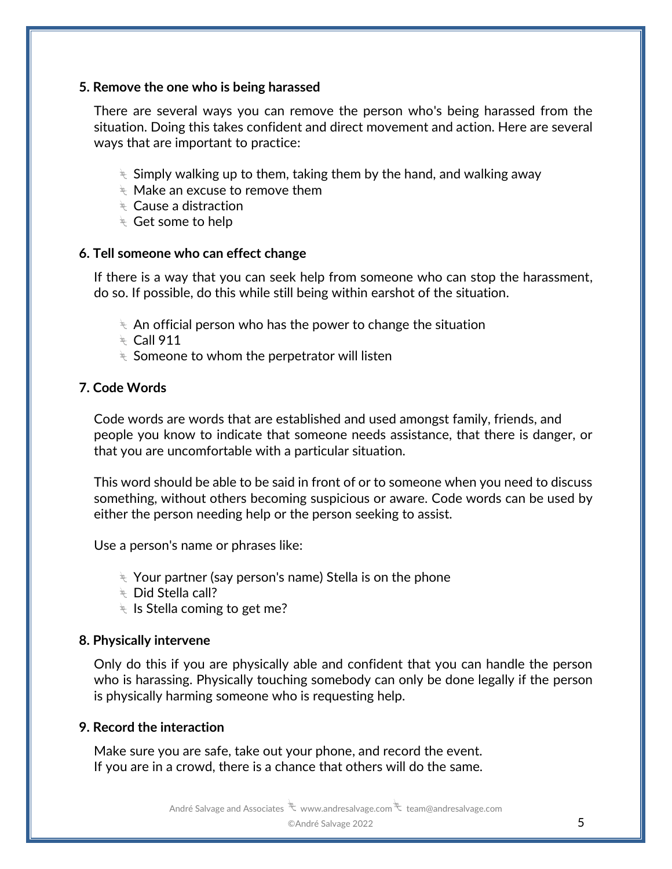#### **5. Remove the one who is being harassed**

There are several ways you can remove the person who's being harassed from the situation. Doing this takes confident and direct movement and action. Here are several ways that are important to practice:

- $\overline{\mathcal{F}}$  Simply walking up to them, taking them by the hand, and walking away
- $\stackrel{\scriptscriptstyle\rm def}{\scriptscriptstyle\rm \sim}$  Make an excuse to remove them
- $\overline{\mathcal{F}}$  Cause a distraction
- $\overline{\mathcal{F}}$  Get some to help

#### **6. Tell someone who can effect change**

If there is a way that you can seek help from someone who can stop the harassment, do so. If possible, do this while still being within earshot of the situation.

- $\ast$  An official person who has the power to change the situation
- $\angle$  Call 911
- $\overline{\mathcal{F}}$  Someone to whom the perpetrator will listen

#### **7. Code Words**

Code words are words that are established and used amongst family, friends, and people you know to indicate that someone needs assistance, that there is danger, or that you are uncomfortable with a particular situation.

This word should be able to be said in front of or to someone when you need to discuss something, without others becoming suspicious or aware. Code words can be used by either the person needing help or the person seeking to assist.

Use a person's name or phrases like:

- $\ast$  Your partner (say person's name) Stella is on the phone
- $\overline{\mathbb{R}}$  Did Stella call?
- $\overline{\mathcal{F}}$  Is Stella coming to get me?

#### **8. Physically intervene**

Only do this if you are physically able and confident that you can handle the person who is harassing. Physically touching somebody can only be done legally if the person is physically harming someone who is requesting help.

#### **9. Record the interaction**

Make sure you are safe, take out your phone, and record the event. If you are in a crowd, there is a chance that others will do the same.

André Salvage and Associates  $\overline{\mathcal{K}}$  www.andresalvage.com  $\overline{\mathcal{K}}$  team@andresalvage.com

#### ©André Salvage 2022 5